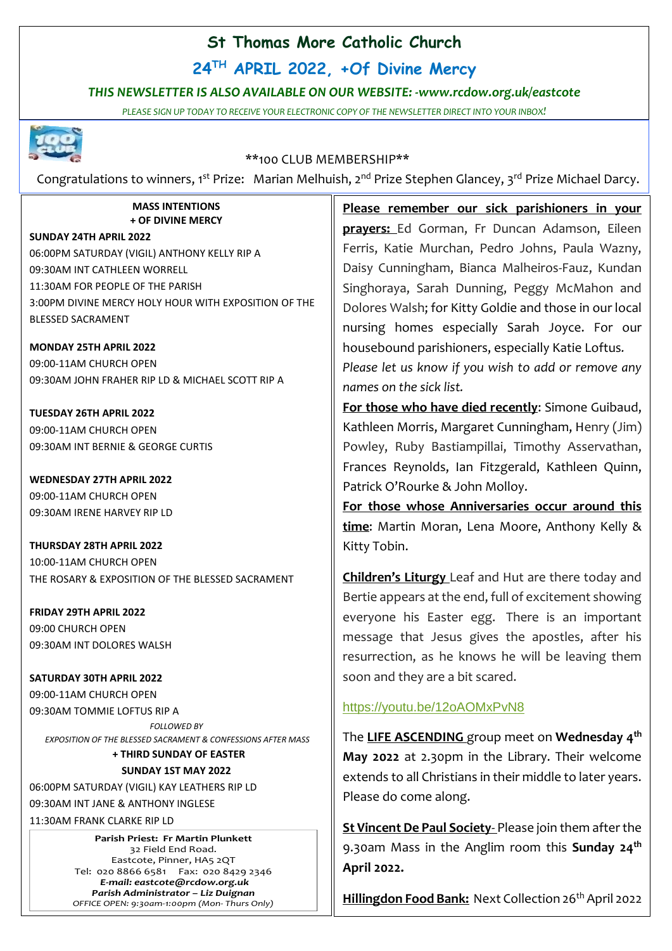# **St Thomas More Catholic Church**

**24TH APRIL 2022, +Of Divine Mercy**

## *THIS NEWSLETTER IS ALSO AVAILABLE ON OUR WEBSITE: -www.rcdow.org.uk/eastcote*

*PLEASE SIGN UP TODAY TO RECEIVE YOUR ELECTRONIC COPY OF THE NEWSLETTER DIRECT INTO YOUR INBOX!*



## \*\*100 CLUB MEMBERSHIP\*\*

Congratulations to winners, 1<sup>st</sup> Prize: Marian Melhuish, 2<sup>nd</sup> Prize Stephen Glancey, 3<sup>rd</sup> Prize Michael Darcy.

#### **MASS INTENTIONS + OF DIVINE MERCY**

**SUNDAY 24TH APRIL 2022** 06:00PM SATURDAY (VIGIL) ANTHONY KELLY RIP A 09:30AM INT CATHLEEN WORRELL 11:30AM FOR PEOPLE OF THE PARISH 3:00PM DIVINE MERCY HOLY HOUR WITH EXPOSITION OF THE BLESSED SACRAMENT

**MONDAY 25TH APRIL 2022** 09:00-11AM CHURCH OPEN 09:30AM JOHN FRAHER RIP LD & MICHAEL SCOTT RIP A

**TUESDAY 26TH APRIL 2022** 09:00-11AM CHURCH OPEN 09:30AM INT BERNIE & GEORGE CURTIS

**WEDNESDAY 27TH APRIL 2022** 09:00-11AM CHURCH OPEN 09:30AM IRENE HARVEY RIP LD

**THURSDAY 28TH APRIL 2022** 10:00-11AM CHURCH OPEN THE ROSARY & EXPOSITION OF THE BLESSED SACRAMENT

**FRIDAY 29TH APRIL 2022** 09:00 CHURCH OPEN 09:30AM INT DOLORES WALSH

**SATURDAY 30TH APRIL 2022** 09:00-11AM CHURCH OPEN 09:30AM TOMMIE LOFTUS RIP A *FOLLOWED BY EXPOSITION OF THE BLESSED SACRAMENT & CONFESSIONS AFTER MASS*

**+ THIRD SUNDAY OF EASTER**

#### **SUNDAY 1ST MAY 2022**

06:00PM SATURDAY (VIGIL) KAY LEATHERS RIP LD 09:30AM INT JANE & ANTHONY INGLESE

11:30AM FRANK CLARKE RIP LD

**Parish Priest: Fr Martin Plunkett**  32 Field End Road. Eastcote, Pinner, HA5 2QT Tel: 020 8866 6581 Fax: 020 8429 2346 *E-mail: eastcote@rcdow.org.uk Parish Administrator – Liz Duignan OFFICE OPEN: 9:30am-1:00pm (Mon- Thurs Only)* **Please remember our sick parishioners in your prayers:** Ed Gorman, Fr Duncan Adamson, Eileen Ferris, Katie Murchan, Pedro Johns, Paula Wazny, Daisy Cunningham, Bianca Malheiros-Fauz, Kundan Singhoraya, Sarah Dunning, Peggy McMahon and Dolores Walsh; for Kitty Goldie and those in our local nursing homes especially Sarah Joyce. For our housebound parishioners, especially Katie Loftus*.*

*Please let us know if you wish to add or remove any names on the sick list.*

**For those who have died recently**: Simone Guibaud, Kathleen Morris, Margaret Cunningham, Henry (Jim) Powley, Ruby Bastiampillai, Timothy Asservathan, Frances Reynolds, Ian Fitzgerald, Kathleen Quinn, Patrick O'Rourke & John Molloy.

**For those whose Anniversaries occur around this time**: Martin Moran, Lena Moore, Anthony Kelly & Kitty Tobin.

**Children's Liturgy** Leaf and Hut are there today and Bertie appears at the end, full of excitement showing everyone his Easter egg. There is an important message that Jesus gives the apostles, after his resurrection, as he knows he will be leaving them soon and they are a bit scared.

## <https://youtu.be/12oAOMxPvN8>

The **LIFE ASCENDING** group meet on **Wednesday 4 th May 2022** at 2.30pm in the Library. Their welcome extends to all Christians in their middle to later years. Please do come along.

**St Vincent De Paul Society**- Please join them after the 9.30am Mass in the Anglim room this **Sunday 24th April 2022.**

**Hillingdon Food Bank:** Next Collection 26<sup>th</sup> April 2022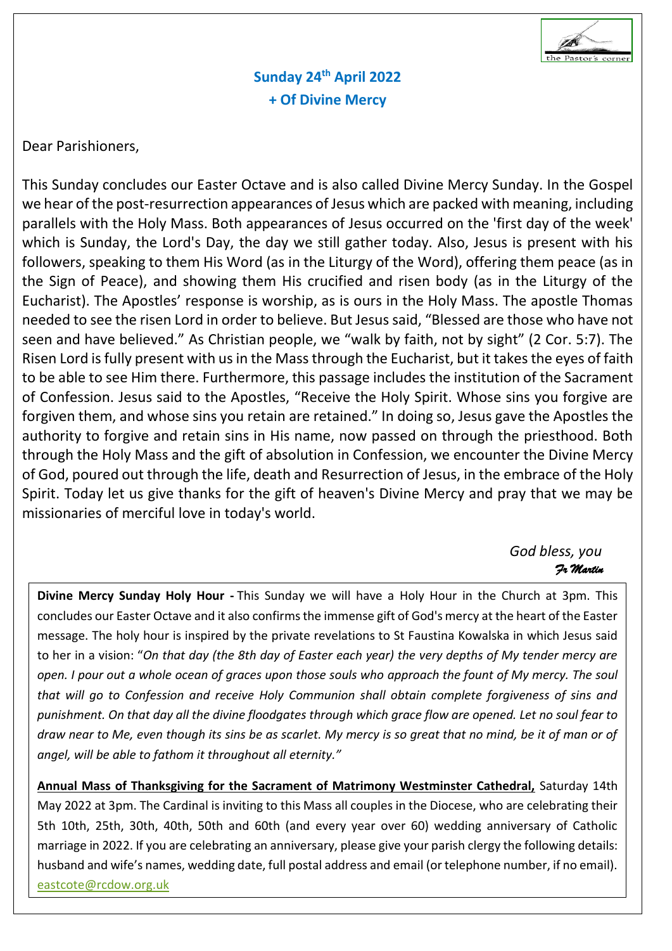

**Sunday 24th April 2022 + Of Divine Mercy**

Dear Parishioners,

This Sunday concludes our Easter Octave and is also called Divine Mercy Sunday. In the Gospel we hear of the post-resurrection appearances of Jesus which are packed with meaning, including parallels with the Holy Mass. Both appearances of Jesus occurred on the 'first day of the week' which is Sunday, the Lord's Day, the day we still gather today. Also, Jesus is present with his followers, speaking to them His Word (as in the Liturgy of the Word), offering them peace (as in the Sign of Peace), and showing them His crucified and risen body (as in the Liturgy of the Eucharist). The Apostles' response is worship, as is ours in the Holy Mass. The apostle Thomas needed to see the risen Lord in order to believe. But Jesus said, "Blessed are those who have not seen and have believed." As Christian people, we "walk by faith, not by sight" (2 Cor. 5:7). The Risen Lord is fully present with us in the Mass through the Eucharist, but it takes the eyes of faith to be able to see Him there. Furthermore, this passage includes the institution of the Sacrament of Confession. Jesus said to the Apostles, "Receive the Holy Spirit. Whose sins you forgive are forgiven them, and whose sins you retain are retained." In doing so, Jesus gave the Apostles the authority to forgive and retain sins in His name, now passed on through the priesthood. Both through the Holy Mass and the gift of absolution in Confession, we encounter the Divine Mercy of God, poured out through the life, death and Resurrection of Jesus, in the embrace of the Holy Spirit. Today let us give thanks for the gift of heaven's Divine Mercy and pray that we may be missionaries of merciful love in today's world.

*God bless, you Fr Martin* 

**Divine Mercy Sunday Holy Hour -** This Sunday we will have a Holy Hour in the Church at 3pm. This concludes our Easter Octave and it also confirms the immense gift of God's mercy at the heart of the Easter message. The holy hour is inspired by the private revelations to St Faustina Kowalska in which Jesus said to her in a vision: "*On that day (the 8th day of Easter each year) the very depths of My tender mercy are open. I pour out a whole ocean of graces upon those souls who approach the fount of My mercy. The soul that will go to Confession and receive Holy Communion shall obtain complete forgiveness of sins and punishment. On that day all the divine floodgates through which grace flow are opened. Let no soul fear to draw near to Me, even though its sins be as scarlet. My mercy is so great that no mind, be it of man or of angel, will be able to fathom it throughout all eternity."*

**Annual Mass of Thanksgiving for the Sacrament of Matrimony Westminster Cathedral,** Saturday 14th May 2022 at 3pm. The Cardinal is inviting to this Mass all couples in the Diocese, who are celebrating their 5th 10th, 25th, 30th, 40th, 50th and 60th (and every year over 60) wedding anniversary of Catholic marriage in 2022. If you are celebrating an anniversary, please give your parish clergy the following details: husband and wife's names, wedding date, full postal address and email (or telephone number, if no email). [eastcote@rcdow.org.uk](mailto:eastcote@rcdow.org.uk)